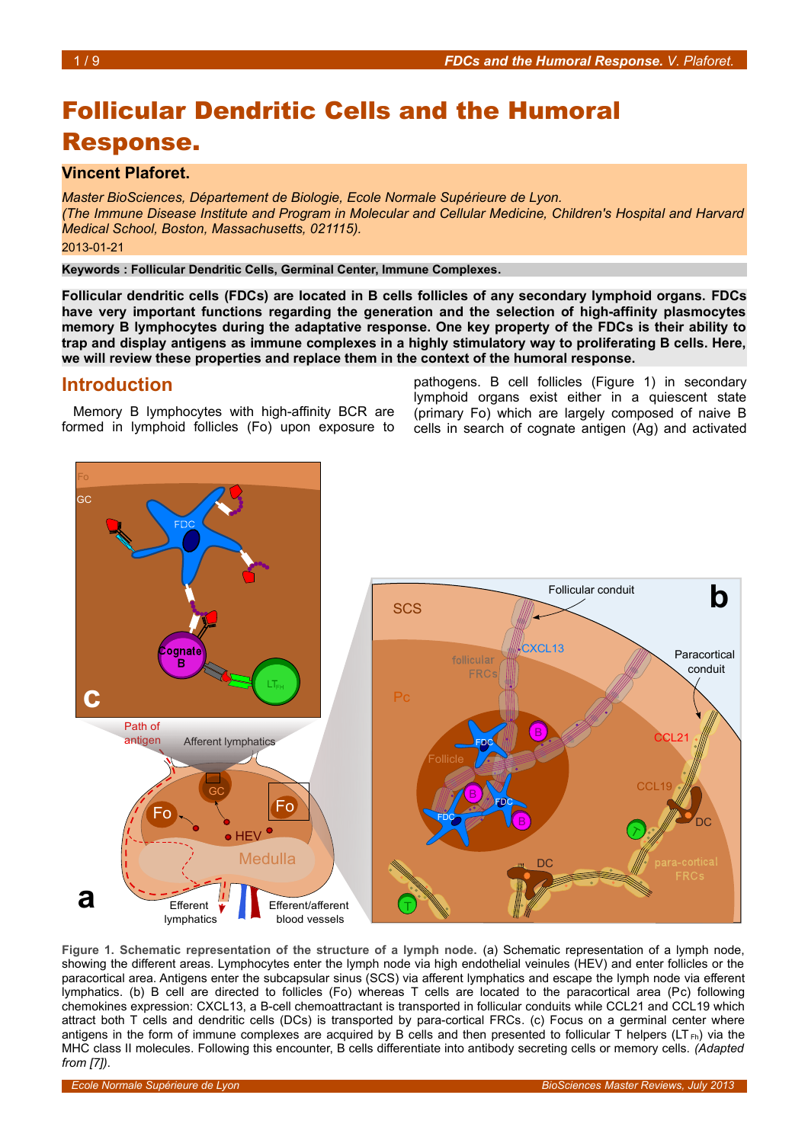# Follicular Dendritic Cells and the Humoral Response.

### **Vincent Plaforet.**

*Master BioSciences, Département de Biologie, Ecole Normale Supérieure de Lyon. (The Immune Disease Institute and Program in Molecular and Cellular Medicine, Children's Hospital and Harvard Medical School, Boston, Massachusetts, 021115).* 2013-01-21

**Keywords : Follicular Dendritic Cells, Germinal Center, Immune Complexes.**

**Follicular dendritic cells (FDCs) are located in B cells follicles of any secondary lymphoid organs. FDCs have very important functions regarding the generation and the selection of high-affinity plasmocytes memory B lymphocytes during the adaptative response. One key property of the FDCs is their ability to trap and display antigens as immune complexes in a highly stimulatory way to proliferating B cells. Here, we will review these properties and replace them in the context of the humoral response.** 

### **Introduction**

Memory B lymphocytes with high-affinity BCR are formed in lymphoid follicles (Fo) upon exposure to

pathogens. B cell follicles (Figure [1\)](#page-0-0) in secondary lymphoid organs exist either in a quiescent state (primary Fo) which are largely composed of naive B cells in search of cognate antigen (Ag) and activated



<span id="page-0-0"></span>**Figure 1. Schematic representation of the structure of a lymph node.** (a) Schematic representation of a lymph node, showing the different areas. Lymphocytes enter the lymph node via high endothelial veinules (HEV) and enter follicles or the paracortical area. Antigens enter the subcapsular sinus (SCS) via afferent lymphatics and escape the lymph node via efferent lymphatics. (b) B cell are directed to follicles (Fo) whereas T cells are located to the paracortical area (Pc) following chemokines expression: CXCL13, a B-cell chemoattractant is transported in follicular conduits while CCL21 and CCL19 which attract both T cells and dendritic cells (DCs) is transported by para-cortical FRCs. (c) Focus on a germinal center where antigens in the form of immune complexes are acquired by B cells and then presented to follicular  $\Gamma$  helpers (LT<sub>Fh</sub>) via the MHC class II molecules. Following this encounter, B cells differentiate into antibody secreting cells or memory cells. *(Adapted from [7])*.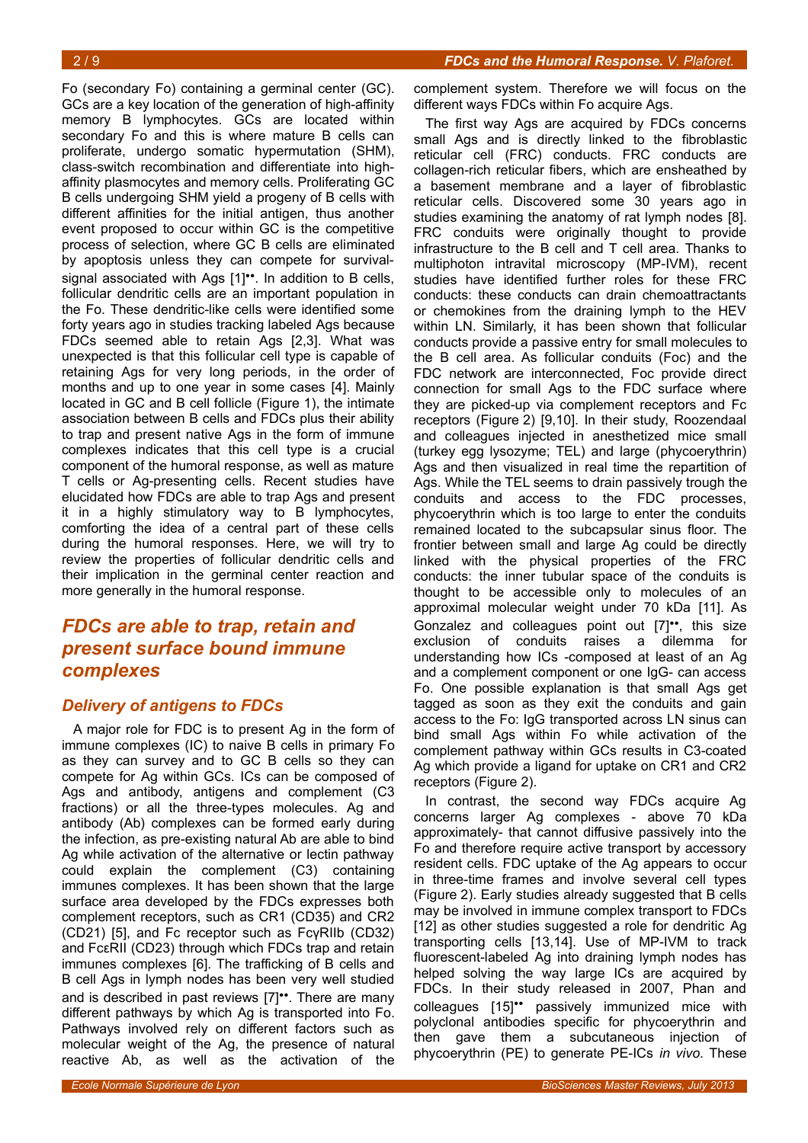Fo (secondary Fo) containing a germinal center (GC). GCs are a key location of the generation of high-affinity memory B lymphocytes. GCs are located within secondary Fo and this is where mature B cells can proliferate, undergo somatic hypermutation (SHM), class-switch recombination and differentiate into highaffinity plasmocytes and memory cells. Proliferating GC B cells undergoing SHM yield a progeny of B cells with different affinities for the initial antigen, thus another event proposed to occur within GC is the competitive process of selection, where GC B cells are eliminated by apoptosis unless they can compete for survivalsignal associated with Ags [1]<sup>\*\*</sup>. In addition to B cells. follicular dendritic cells are an important population in the Fo. These dendritic-like cells were identified some forty years ago in studies tracking labeled Ags because FDCs seemed able to retain Ags [2,3]. What was unexpected is that this follicular cell type is capable of retaining Ags for very long periods, in the order of months and up to one year in some cases [4]. Mainly located in GC and B cell follicle (Figure [1\)](#page-0-0), the intimate association between B cells and FDCs plus their ability to trap and present native Ags in the form of immune complexes indicates that this cell type is a crucial component of the humoral response, as well as mature T cells or Ag-presenting cells. Recent studies have elucidated how FDCs are able to trap Ags and present it in a highly stimulatory way to B lymphocytes, comforting the idea of a central part of these cells during the humoral responses. Here, we will try to review the properties of follicular dendritic cells and their implication in the germinal center reaction and more generally in the humoral response.

# *FDCs are able to trap, retain and present surface bound immune complexes*

### *Delivery of antigens to FDCs*

A major role for FDC is to present Ag in the form of immune complexes (IC) to naive B cells in primary Fo as they can survey and to GC B cells so they can compete for Ag within GCs. ICs can be composed of Ags and antibody, antigens and complement (C3 fractions) or all the three-types molecules. Ag and antibody (Ab) complexes can be formed early during the infection, as pre-existing natural Ab are able to bind Ag while activation of the alternative or lectin pathway could explain the complement (C3) containing immunes complexes. It has been shown that the large surface area developed by the FDCs expresses both complement receptors, such as CR1 (CD35) and CR2 (CD21) [5], and Fc receptor such as FcγRIIb (CD32) and FcεRII (CD23) through which FDCs trap and retain immunes complexes [6]. The trafficking of B cells and B cell Ags in lymph nodes has been very well studied and is described in past reviews [7]••. There are many different pathways by which Ag is transported into Fo. Pathways involved rely on different factors such as molecular weight of the Ag, the presence of natural reactive Ab, as well as the activation of the

The first way Ags are acquired by FDCs concerns small Ags and is directly linked to the fibroblastic reticular cell (FRC) conducts. FRC conducts are collagen-rich reticular fibers, which are ensheathed by a basement membrane and a layer of fibroblastic reticular cells. Discovered some 30 years ago in studies examining the anatomy of rat lymph nodes [8]. FRC conduits were originally thought to provide infrastructure to the B cell and T cell area. Thanks to multiphoton intravital microscopy (MP-IVM), recent studies have identified further roles for these FRC conducts: these conducts can drain chemoattractants or chemokines from the draining lymph to the HEV within LN. Similarly, it has been shown that follicular conducts provide a passive entry for small molecules to the B cell area. As follicular conduits (Foc) and the FDC network are interconnected, Foc provide direct connection for small Ags to the FDC surface where they are picked-up via complement receptors and Fc receptors (Figure [2\)](#page-2-0) [9,10]. In their study, Roozendaal and colleagues injected in anesthetized mice small (turkey egg lysozyme; TEL) and large (phycoerythrin) Ags and then visualized in real time the repartition of Ags. While the TEL seems to drain passively trough the conduits and access to the FDC processes, phycoerythrin which is too large to enter the conduits remained located to the subcapsular sinus floor. The frontier between small and large Ag could be directly linked with the physical properties of the FRC conducts: the inner tubular space of the conduits is thought to be accessible only to molecules of an approximal molecular weight under 70 kDa [11]. As Gonzalez and colleagues point out [7]••, this size exclusion of conduits raises a dilemma for understanding how ICs -composed at least of an Ag and a complement component or one IgG- can access Fo. One possible explanation is that small Ags get tagged as soon as they exit the conduits and gain access to the Fo: IgG transported across LN sinus can bind small Ags within Fo while activation of the complement pathway within GCs results in C3-coated Ag which provide a ligand for uptake on CR1 and CR2 receptors (Figure [2\)](#page-2-0).

In contrast, the second way FDCs acquire Ag concerns larger Ag complexes - above 70 kDa approximately- that cannot diffusive passively into the Fo and therefore require active transport by accessory resident cells. FDC uptake of the Ag appears to occur in three-time frames and involve several cell types (Figure [2\)](#page-2-0). Early studies already suggested that B cells may be involved in immune complex transport to FDCs [12] as other studies suggested a role for dendritic Ag transporting cells [13,14]. Use of MP-IVM to track fluorescent-labeled Ag into draining lymph nodes has helped solving the way large ICs are acquired by FDCs. In their study released in 2007, Phan and colleagues [15]•• passively immunized mice with polyclonal antibodies specific for phycoerythrin and then gave them a subcutaneous injection of phycoerythrin (PE) to generate PE-ICs *in vivo*. These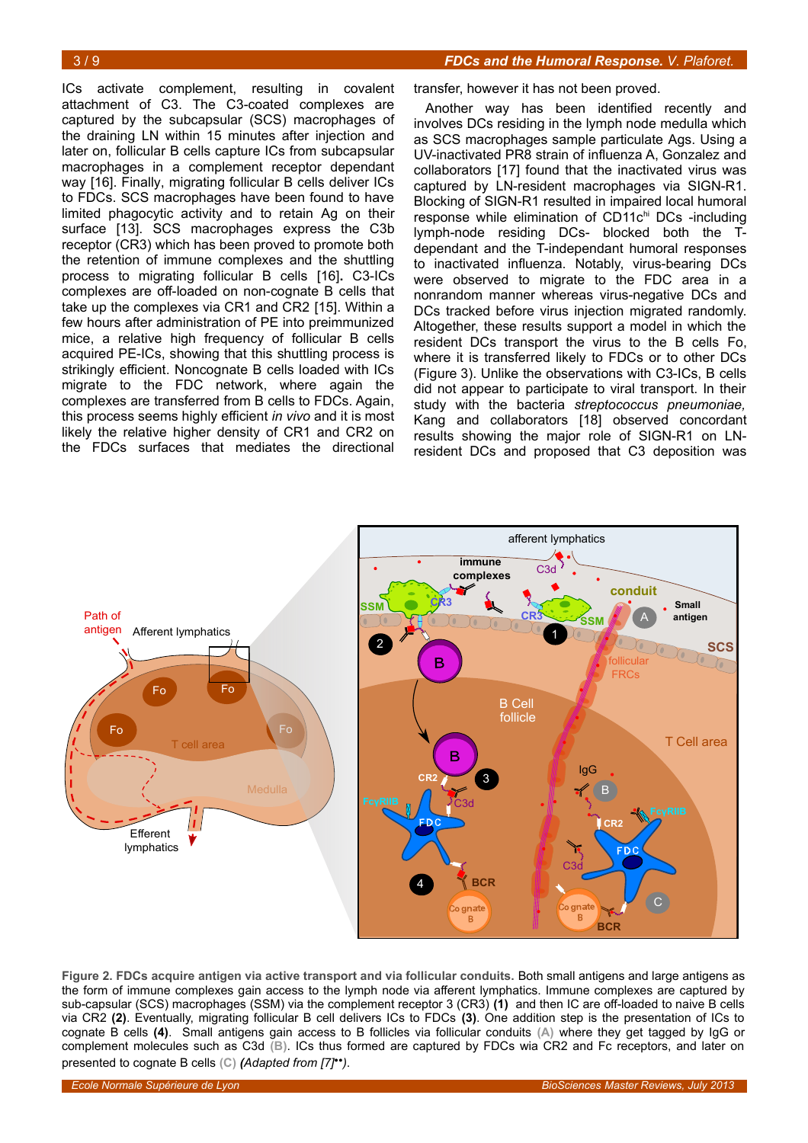ICs activate complement, resulting in covalent attachment of C3. The C3-coated complexes are captured by the subcapsular (SCS) macrophages of the draining LN within 15 minutes after injection and later on, follicular B cells capture ICs from subcapsular macrophages in a complement receptor dependant way [16]. Finally, migrating follicular B cells deliver ICs to FDCs. SCS macrophages have been found to have limited phagocytic activity and to retain Ag on their surface [13]. SCS macrophages express the C3b receptor (CR3) which has been proved to promote both the retention of immune complexes and the shuttling process to migrating follicular B cells [16]**.** C3-ICs complexes are off-loaded on non-cognate B cells that take up the complexes via CR1 and CR2 [15]. Within a few hours after administration of PE into preimmunized mice, a relative high frequency of follicular B cells acquired PE-ICs, showing that this shuttling process is strikingly efficient. Noncognate B cells loaded with ICs migrate to the FDC network, where again the complexes are transferred from B cells to FDCs. Again, this process seems highly efficient *in vivo* and it is most likely the relative higher density of CR1 and CR2 on the FDCs surfaces that mediates the directional

transfer, however it has not been proved.

Another way has been identified recently and involves DCs residing in the lymph node medulla which as SCS macrophages sample particulate Ags. Using a UV-inactivated PR8 strain of influenza A, Gonzalez and collaborators [17] found that the inactivated virus was captured by LN-resident macrophages via SIGN-R1. Blocking of SIGN-R1 resulted in impaired local humoral response while elimination of CD11chi DCs -including lymph-node residing DCs- blocked both the Tdependant and the T-independant humoral responses to inactivated influenza. Notably, virus-bearing DCs were observed to migrate to the FDC area in a nonrandom manner whereas virus-negative DCs and DCs tracked before virus injection migrated randomly. Altogether, these results support a model in which the resident DCs transport the virus to the B cells Fo, where it is transferred likely to FDCs or to other DCs (Figure [3\)](#page-3-0). Unlike the observations with C3-ICs, B cells did not appear to participate to viral transport. In their study with the bacteria *streptococcus pneumoniae,* Kang and collaborators [18] observed concordant results showing the major role of SIGN-R1 on LNresident DCs and proposed that C3 deposition was



<span id="page-2-0"></span>**Figure 2. FDCs acquire antigen via active transport and via follicular conduits.** Both small antigens and large antigens as the form of immune complexes gain access to the lymph node via afferent lymphatics. Immune complexes are captured by sub-capsular (SCS) macrophages (SSM) via the complement receptor 3 (CR3) **(1)** and then IC are off-loaded to naive B cells via CR2 **(2)**. Eventually, migrating follicular B cell delivers ICs to FDCs **(3)**. One addition step is the presentation of ICs to cognate B cells **(4)**. Small antigens gain access to B follicles via follicular conduits **(A)** where they get tagged by IgG or complement molecules such as C3d **(B)**. ICs thus formed are captured by FDCs wia CR2 and Fc receptors, and later on presented to cognate B cells **(C)** *(Adapted from [7]*••*)*.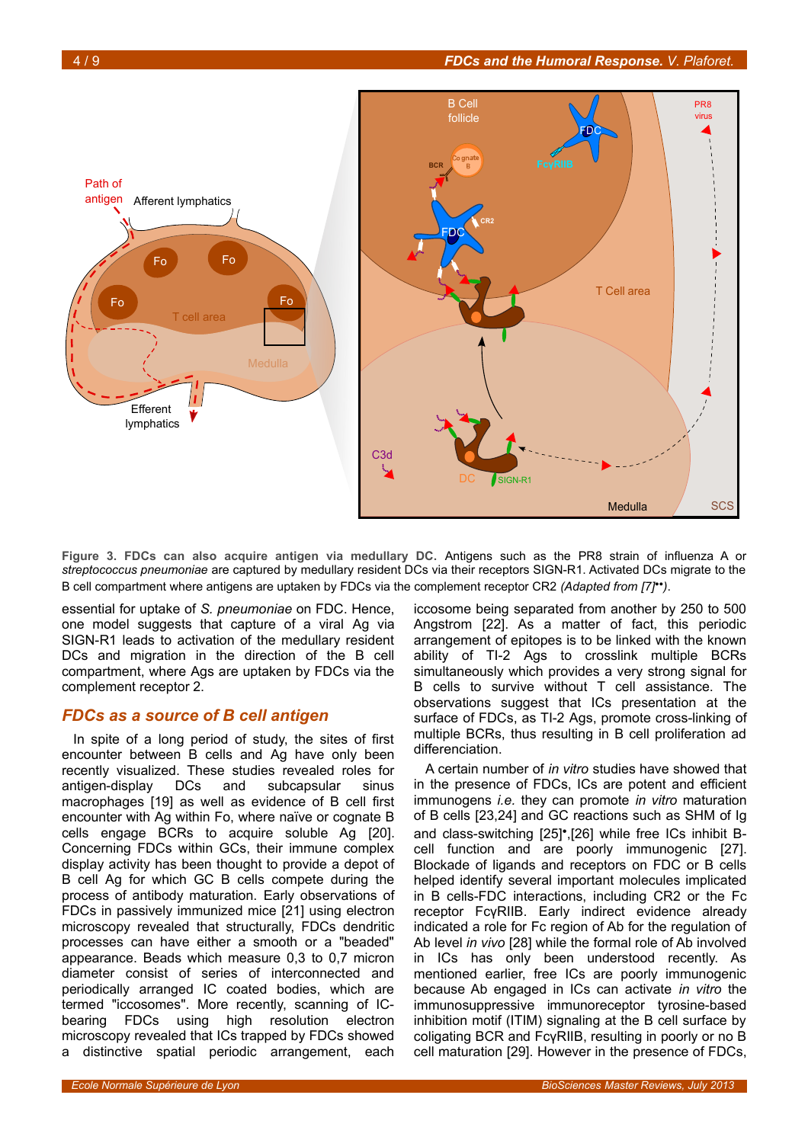

<span id="page-3-0"></span>**Figure 3. FDCs can also acquire antigen via medullary DC.** Antigens such as the PR8 strain of influenza A or *streptococcus pneumoniae* are captured by medullary resident DCs via their receptors SIGN-R1. Activated DCs migrate to the B cell compartment where antigens are uptaken by FDCs via the complement receptor CR2 *(Adapted from [7]*••*)*.

essential for uptake of *S. pneumoniae* on FDC. Hence, one model suggests that capture of a viral Ag via SIGN-R1 leads to activation of the medullary resident DCs and migration in the direction of the B cell compartment, where Ags are uptaken by FDCs via the complement receptor 2.

### *FDCs as a source of B cell antigen*

In spite of a long period of study, the sites of first encounter between B cells and Ag have only been recently visualized. These studies revealed roles for antigen-display DCs and subcapsular sinus macrophages [19] as well as evidence of B cell first encounter with Ag within Fo, where naïve or cognate B cells engage BCRs to acquire soluble Ag [20]. Concerning FDCs within GCs, their immune complex display activity has been thought to provide a depot of B cell Ag for which GC B cells compete during the process of antibody maturation. Early observations of FDCs in passively immunized mice [21] using electron microscopy revealed that structurally, FDCs dendritic processes can have either a smooth or a "beaded" appearance. Beads which measure 0,3 to 0,7 micron diameter consist of series of interconnected and periodically arranged IC coated bodies, which are termed "iccosomes". More recently, scanning of ICbearing FDCs using high resolution electron microscopy revealed that ICs trapped by FDCs showed a distinctive spatial periodic arrangement, each

iccosome being separated from another by 250 to 500 Angstrom [22]. As a matter of fact, this periodic arrangement of epitopes is to be linked with the known ability of TI-2 Ags to crosslink multiple BCRs simultaneously which provides a very strong signal for B cells to survive without T cell assistance. The observations suggest that ICs presentation at the surface of FDCs, as TI-2 Ags, promote cross-linking of multiple BCRs, thus resulting in B cell proliferation ad differenciation.

A certain number of *in vitro* studies have showed that in the presence of FDCs, ICs are potent and efficient immunogens *i.e.* they can promote *in vitro* maturation of B cells [23,24] and GC reactions such as SHM of Ig and class-switching [25]•,[26] while free ICs inhibit Bcell function and are poorly immunogenic [27]. Blockade of ligands and receptors on FDC or B cells helped identify several important molecules implicated in B cells-FDC interactions, including CR2 or the Fc receptor FcγRIIB. Early indirect evidence already indicated a role for Fc region of Ab for the regulation of Ab level *in vivo* [28] while the formal role of Ab involved in ICs has only been understood recently. As mentioned earlier, free ICs are poorly immunogenic because Ab engaged in ICs can activate *in vitro* the immunosuppressive immunoreceptor tyrosine-based inhibition motif (ITIM) signaling at the B cell surface by coligating BCR and FcγRIIB, resulting in poorly or no B cell maturation [29]. However in the presence of FDCs,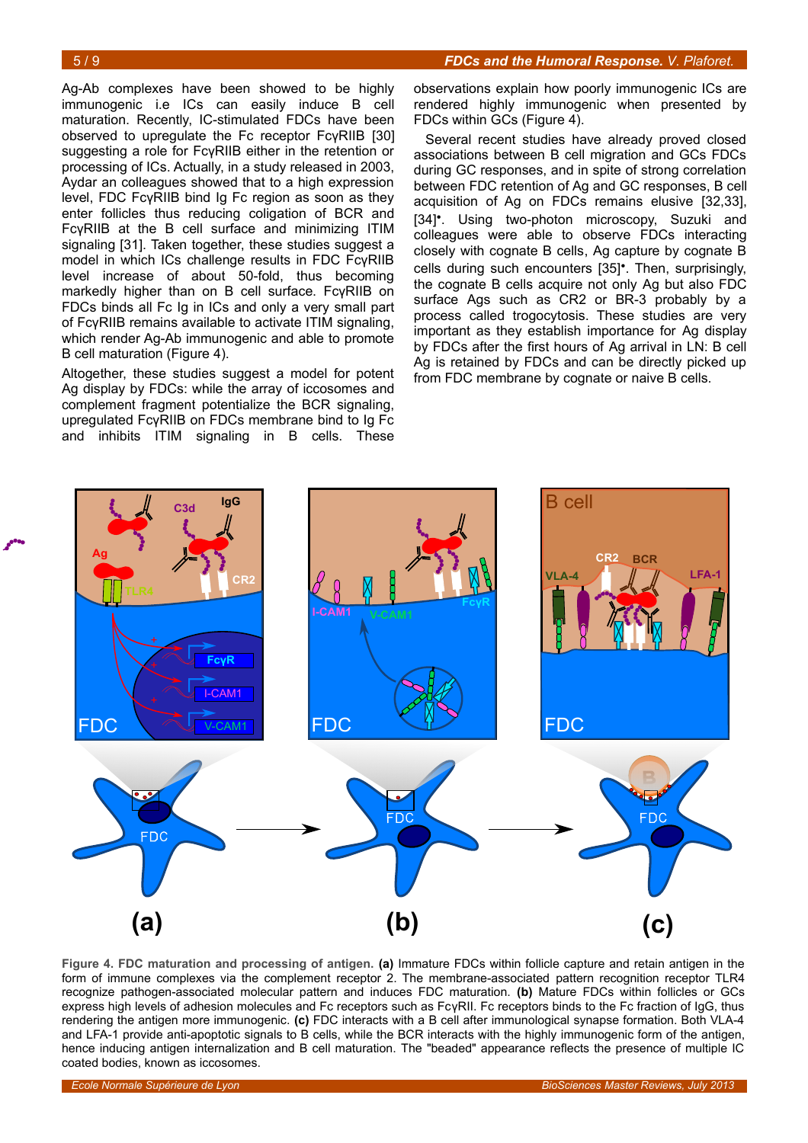Ag-Ab complexes have been showed to be highly immunogenic i.e ICs can easily induce B cell maturation. Recently, IC-stimulated FDCs have been observed to upregulate the Fc receptor FcγRIIB [30] suggesting a role for FcγRIIB either in the retention or processing of ICs. Actually, in a study released in 2003, Aydar an colleagues showed that to a high expression level, FDC FcγRIIB bind Ig Fc region as soon as they enter follicles thus reducing coligation of BCR and FcγRIIB at the B cell surface and minimizing ITIM signaling [31]. Taken together, these studies suggest a model in which ICs challenge results in FDC FcγRIIB level increase of about 50-fold, thus becoming markedly higher than on B cell surface. FcγRIIB on FDCs binds all Fc Ig in ICs and only a very small part of FcγRIIB remains available to activate ITIM signaling, which render Ag-Ab immunogenic and able to promote B cell maturation (Figure [4\)](#page-4-0).

Altogether, these studies suggest a model for potent Ag display by FDCs: while the array of iccosomes and complement fragment potentialize the BCR signaling, upregulated FcγRIIB on FDCs membrane bind to Ig Fc and inhibits ITIM signaling in B cells. These

observations explain how poorly immunogenic ICs are rendered highly immunogenic when presented by FDCs within GCs (Figure [4\)](#page-4-0).

Several recent studies have already proved closed associations between B cell migration and GCs FDCs during GC responses, and in spite of strong correlation between FDC retention of Ag and GC responses, B cell acquisition of Ag on FDCs remains elusive [32,33], [34]<sup>•</sup>. Using two-photon microscopy, Suzuki and colleagues were able to observe FDCs interacting closely with cognate B cells, Ag capture by cognate B cells during such encounters [35]•. Then, surprisingly, the cognate B cells acquire not only Ag but also FDC surface Ags such as CR2 or BR-3 probably by a process called trogocytosis. These studies are very important as they establish importance for Ag display by FDCs after the first hours of Ag arrival in LN: B cell Ag is retained by FDCs and can be directly picked up from FDC membrane by cognate or naive B cells.



<span id="page-4-0"></span>**Figure 4. FDC maturation and processing of antigen. (a)** Immature FDCs within follicle capture and retain antigen in the form of immune complexes via the complement receptor 2. The membrane-associated pattern recognition receptor TLR4 recognize pathogen-associated molecular pattern and induces FDC maturation. **(b)** Mature FDCs within follicles or GCs express high levels of adhesion molecules and Fc receptors such as FcγRII. Fc receptors binds to the Fc fraction of IgG, thus rendering the antigen more immunogenic. **(c)** FDC interacts with a B cell after immunological synapse formation. Both VLA-4 and LFA-1 provide anti-apoptotic signals to B cells, while the BCR interacts with the highly immunogenic form of the antigen, hence inducing antigen internalization and B cell maturation. The "beaded" appearance reflects the presence of multiple IC coated bodies, known as iccosomes.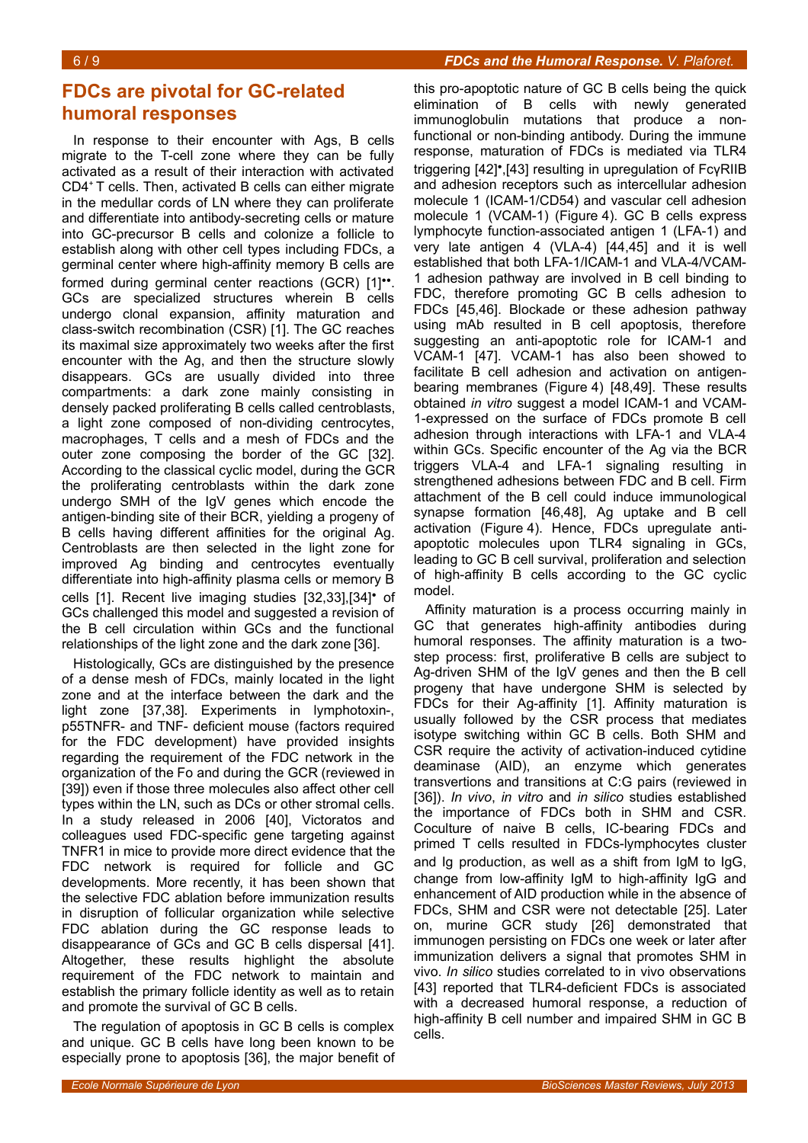# **FDCs are pivotal for GC-related humoral responses**

In response to their encounter with Ags, B cells migrate to the T-cell zone where they can be fully activated as a result of their interaction with activated CD4<sup>+</sup>T cells. Then, activated B cells can either migrate in the medullar cords of LN where they can proliferate and differentiate into antibody-secreting cells or mature into GC-precursor B cells and colonize a follicle to establish along with other cell types including FDCs, a germinal center where high-affinity memory B cells are formed during germinal center reactions (GCR) [1]". GCs are specialized structures wherein B cells undergo clonal expansion, affinity maturation and class-switch recombination (CSR) [1]. The GC reaches its maximal size approximately two weeks after the first encounter with the Ag, and then the structure slowly disappears. GCs are usually divided into three compartments: a dark zone mainly consisting in densely packed proliferating B cells called centroblasts, a light zone composed of non-dividing centrocytes, macrophages, T cells and a mesh of FDCs and the outer zone composing the border of the GC [32]. According to the classical cyclic model, during the GCR the proliferating centroblasts within the dark zone undergo SMH of the IgV genes which encode the antigen-binding site of their BCR, yielding a progeny of B cells having different affinities for the original Ag. Centroblasts are then selected in the light zone for improved Ag binding and centrocytes eventually differentiate into high-affinity plasma cells or memory B cells [1]. Recent live imaging studies [32,33],[34]• of GCs challenged this model and suggested a revision of the B cell circulation within GCs and the functional relationships of the light zone and the dark zone [36].

Histologically, GCs are distinguished by the presence of a dense mesh of FDCs, mainly located in the light zone and at the interface between the dark and the light zone [37,38]. Experiments in lymphotoxin-, p55TNFR- and TNF- deficient mouse (factors required for the FDC development) have provided insights regarding the requirement of the FDC network in the organization of the Fo and during the GCR (reviewed in [39]) even if those three molecules also affect other cell types within the LN, such as DCs or other stromal cells. In a study released in 2006 [40], Victoratos and colleagues used FDC-specific gene targeting against TNFR1 in mice to provide more direct evidence that the FDC network is required for follicle and GC developments. More recently, it has been shown that the selective FDC ablation before immunization results in disruption of follicular organization while selective FDC ablation during the GC response leads to disappearance of GCs and GC B cells dispersal [41]. Altogether, these results highlight the absolute requirement of the FDC network to maintain and establish the primary follicle identity as well as to retain and promote the survival of GC B cells.

The regulation of apoptosis in GC B cells is complex and unique. GC B cells have long been known to be especially prone to apoptosis [36], the major benefit of this pro-apoptotic nature of GC B cells being the quick elimination of B cells with newly generated immunoglobulin mutations that produce a nonfunctional or non-binding antibody. During the immune response, maturation of FDCs is mediated via TLR4 triggering [42]•,[43] resulting in upregulation of FcγRIIB and adhesion receptors such as intercellular adhesion molecule 1 (ICAM-1/CD54) and vascular cell adhesion molecule 1 (VCAM-1) (Figure [4\)](#page-4-0). GC B cells express lymphocyte function-associated antigen 1 (LFA-1) and very late antigen 4 (VLA-4) [44,45] and it is well established that both LFA-1/ICAM-1 and VLA-4/VCAM-1 adhesion pathway are involved in B cell binding to FDC, therefore promoting GC B cells adhesion to FDCs [45,46]. Blockade or these adhesion pathway using mAb resulted in B cell apoptosis, therefore suggesting an anti-apoptotic role for ICAM-1 and VCAM-1 [47]. VCAM-1 has also been showed to facilitate B cell adhesion and activation on antigenbearing membranes (Figure [4\)](#page-4-0) [48,49]. These results obtained *in vitro* suggest a model ICAM-1 and VCAM-1-expressed on the surface of FDCs promote B cell adhesion through interactions with LFA-1 and VLA-4 within GCs. Specific encounter of the Ag via the BCR triggers VLA-4 and LFA-1 signaling resulting in strengthened adhesions between FDC and B cell. Firm attachment of the B cell could induce immunological synapse formation [46,48], Ag uptake and B cell activation (Figure [4\)](#page-4-0). Hence, FDCs upregulate antiapoptotic molecules upon TLR4 signaling in GCs, leading to GC B cell survival, proliferation and selection of high-affinity B cells according to the GC cyclic model.

Affinity maturation is a process occurring mainly in GC that generates high-affinity antibodies during humoral responses. The affinity maturation is a twostep process: first, proliferative B cells are subject to Ag-driven SHM of the IgV genes and then the B cell progeny that have undergone SHM is selected by FDCs for their Ag-affinity [1]. Affinity maturation is usually followed by the CSR process that mediates isotype switching within GC B cells. Both SHM and CSR require the activity of activation-induced cytidine deaminase (AID), an enzyme which generates transvertions and transitions at C:G pairs (reviewed in [36]). *In vivo*, *in vitro* and *in silico* studies established the importance of FDCs both in SHM and CSR. Coculture of naive B cells, IC-bearing FDCs and primed T cells resulted in FDCs-lymphocytes cluster and Ig production, as well as a shift from IgM to IgG, change from low-affinity IgM to high-affinity IgG and enhancement of AID production while in the absence of FDCs, SHM and CSR were not detectable [25]. Later on, murine GCR study [26] demonstrated that immunogen persisting on FDCs one week or later after immunization delivers a signal that promotes SHM in vivo. *In silico* studies correlated to in vivo observations [43] reported that TLR4-deficient FDCs is associated with a decreased humoral response, a reduction of high-affinity B cell number and impaired SHM in GC B cells.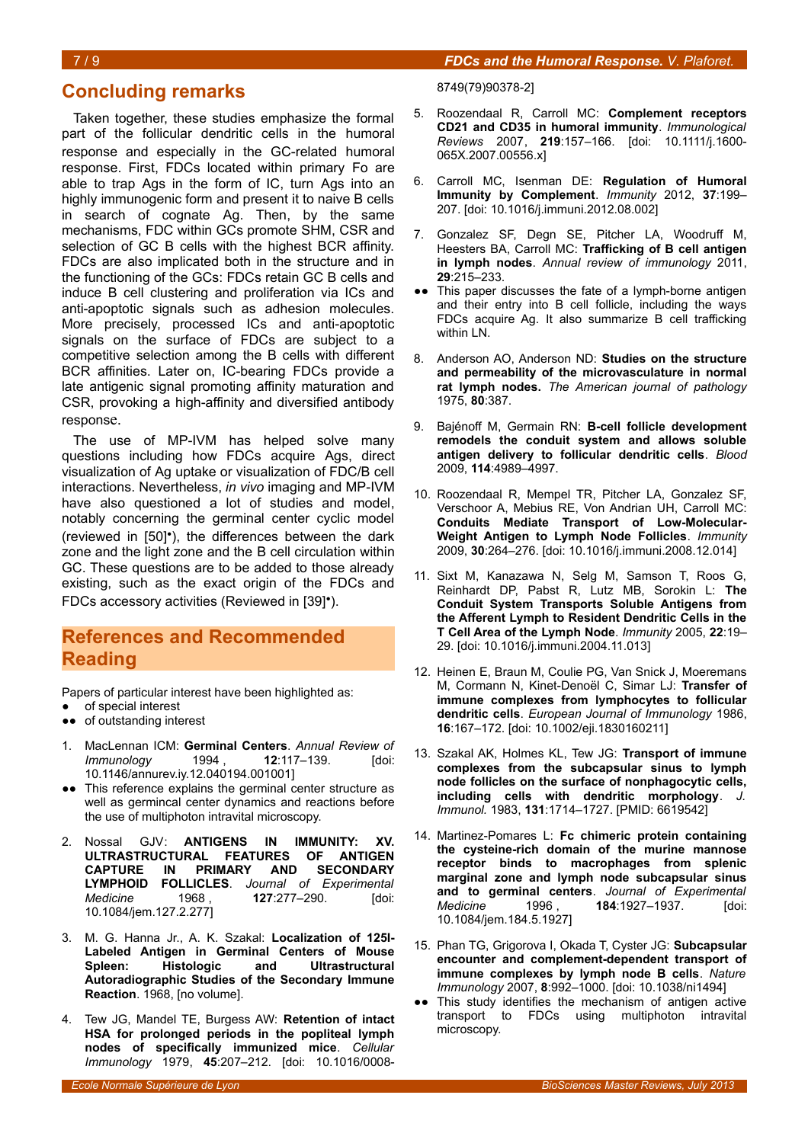### 7 / 9 *FDCs and the Humoral Response. V. Plaforet.*

### **Concluding remarks**

Taken together, these studies emphasize the formal part of the follicular dendritic cells in the humoral response and especially in the GC-related humoral response. First, FDCs located within primary Fo are able to trap Ags in the form of IC, turn Ags into an highly immunogenic form and present it to naive B cells in search of cognate Ag. Then, by the same mechanisms, FDC within GCs promote SHM, CSR and selection of GC B cells with the highest BCR affinity. FDCs are also implicated both in the structure and in the functioning of the GCs: FDCs retain GC B cells and induce B cell clustering and proliferation via ICs and anti-apoptotic signals such as adhesion molecules. More precisely, processed ICs and anti-apoptotic signals on the surface of FDCs are subject to a competitive selection among the B cells with different BCR affinities. Later on, IC-bearing FDCs provide a late antigenic signal promoting affinity maturation and CSR, provoking a high-affinity and diversified antibody response.

The use of MP-IVM has helped solve many questions including how FDCs acquire Ags, direct visualization of Ag uptake or visualization of FDC/B cell interactions. Nevertheless, *in vivo* imaging and MP-IVM have also questioned a lot of studies and model, notably concerning the germinal center cyclic model (reviewed in [50]•), the differences between the dark zone and the light zone and the B cell circulation within GC. These questions are to be added to those already existing, such as the exact origin of the FDCs and FDCs accessory activities (Reviewed in [39]•).

## **References and Recommended Reading**

Papers of particular interest have been highlighted as:

- of special interest
- ●● of outstanding interest
- 1. MacLennan ICM: **Germinal Centers**. *Annual Review of Immunology* 1994 , **12**:117–139. [doi: 10.1146/annurev.iy.12.040194.001001]
- ●● This reference explains the germinal center structure as well as germincal center dynamics and reactions before the use of multiphoton intravital microscopy.
- 2. Nossal GJV: **ANTIGENS IN IMMUNITY: XV. ULTRASTRUCTURAL FEATURES OF ANTIGEN CAPTURE IN PRIMARY LYMPHOID FOLLICLES**. *Journal of Experimental Medicine* 1968 , **127**:277–290. [doi: 10.1084/jem.127.2.277]
- 3. M. G. Hanna Jr., A. K. Szakal: **Localization of 125I-Labeled Antigen in Germinal Centers of Mouse Spleen: Histologic and Ultrastructural Autoradiographic Studies of the Secondary Immune Reaction**. 1968, [no volume].
- 4. Tew JG, Mandel TE, Burgess AW: **Retention of intact HSA for prolonged periods in the popliteal lymph nodes of specifically immunized mice**. *Cellular Immunology* 1979, **45**:207–212. [doi: 10.1016/0008-

8749(79)90378-2]

- 5. Roozendaal R, Carroll MC: **Complement receptors CD21 and CD35 in humoral immunity**. *Immunological Reviews* 2007, **219**:157–166. [doi: 10.1111/j.1600- 065X.2007.00556.x]
- 6. Carroll MC, Isenman DE: **Regulation of Humoral Immunity by Complement**. *Immunity* 2012, **37**:199– 207. [doi: 10.1016/j.immuni.2012.08.002]
- 7. Gonzalez SF, Degn SE, Pitcher LA, Woodruff M, Heesters BA, Carroll MC: **Trafficking of B cell antigen in lymph nodes**. *Annual review of immunology* 2011, **29**:215–233.
- ●● This paper discusses the fate of a lymph-borne antigen and their entry into B cell follicle, including the ways FDCs acquire Ag. It also summarize B cell trafficking within LN.
- 8. Anderson AO, Anderson ND: **Studies on the structure and permeability of the microvasculature in normal rat lymph nodes.** *The American journal of pathology* 1975, **80**:387.
- 9. Bajénoff M, Germain RN: **B-cell follicle development remodels the conduit system and allows soluble antigen delivery to follicular dendritic cells**. *Blood* 2009, **114**:4989–4997.
- 10. Roozendaal R, Mempel TR, Pitcher LA, Gonzalez SF, Verschoor A, Mebius RE, Von Andrian UH, Carroll MC: **Conduits Mediate Transport of Low-Molecular-Weight Antigen to Lymph Node Follicles**. *Immunity* 2009, **30**:264–276. [doi: 10.1016/j.immuni.2008.12.014]
- 11. Sixt M, Kanazawa N, Selg M, Samson T, Roos G, Reinhardt DP, Pabst R, Lutz MB, Sorokin L: **The Conduit System Transports Soluble Antigens from the Afferent Lymph to Resident Dendritic Cells in the T Cell Area of the Lymph Node**. *Immunity* 2005, **22**:19– 29. [doi: 10.1016/j.immuni.2004.11.013]
- 12. Heinen E, Braun M, Coulie PG, Van Snick J, Moeremans M, Cormann N, Kinet-Denoël C, Simar LJ: **Transfer of immune complexes from lymphocytes to follicular dendritic cells**. *European Journal of Immunology* 1986, **16**:167–172. [doi: 10.1002/eji.1830160211]
- 13. Szakal AK, Holmes KL, Tew JG: **Transport of immune complexes from the subcapsular sinus to lymph node follicles on the surface of nonphagocytic cells, including cells with dendritic morphology**. *J. Immunol.* 1983, **131**:1714–1727. [PMID: 6619542]
- 14. Martinez-Pomares L: **Fc chimeric protein containing the cysteine-rich domain of the murine mannose receptor binds to macrophages from splenic marginal zone and lymph node subcapsular sinus and to germinal centers**. *Journal of Experimental Medicine* 1996 , **184**:1927–1937. [doi: 10.1084/jem.184.5.1927]
- 15. Phan TG, Grigorova I, Okada T, Cyster JG: **Subcapsular encounter and complement-dependent transport of immune complexes by lymph node B cells**. *Nature Immunology* 2007, **8**:992–1000. [doi: 10.1038/ni1494]
- •• This study identifies the mechanism of antigen active transport to FDCs using multiphoton intravital microscopy.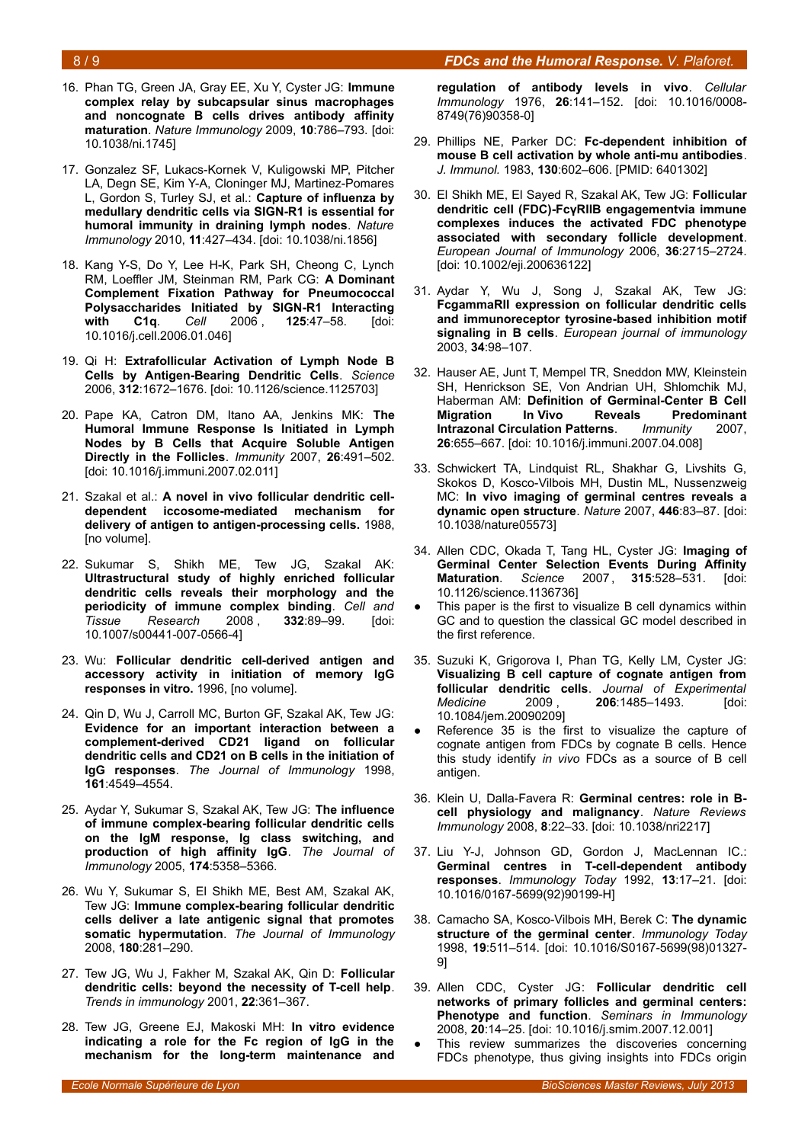### 8 / 9 *FDCs and the Humoral Response. V. Plaforet.*

- 16. Phan TG, Green JA, Gray EE, Xu Y, Cyster JG: **Immune complex relay by subcapsular sinus macrophages and noncognate B cells drives antibody affinity maturation**. *Nature Immunology* 2009, **10**:786–793. [doi: 10.1038/ni.1745]
- 17. Gonzalez SF, Lukacs-Kornek V, Kuligowski MP, Pitcher LA, Degn SE, Kim Y-A, Cloninger MJ, Martinez-Pomares L, Gordon S, Turley SJ, et al.: **Capture of influenza by medullary dendritic cells via SIGN-R1 is essential for humoral immunity in draining lymph nodes**. *Nature Immunology* 2010, **11**:427–434. [doi: 10.1038/ni.1856]
- 18. Kang Y-S, Do Y, Lee H-K, Park SH, Cheong C, Lynch RM, Loeffler JM, Steinman RM, Park CG: **A Dominant Complement Fixation Pathway for Pneumococcal Polysaccharides Initiated by SIGN-R1 Interacting with C1q**. *Cell* 2006 , **125**:47–58. [doi: 10.1016/j.cell.2006.01.046]
- 19. Qi H: **Extrafollicular Activation of Lymph Node B Cells by Antigen-Bearing Dendritic Cells**. *Science* 2006, **312**:1672–1676. [doi: 10.1126/science.1125703]
- 20. Pape KA, Catron DM, Itano AA, Jenkins MK: **The Humoral Immune Response Is Initiated in Lymph Nodes by B Cells that Acquire Soluble Antigen Directly in the Follicles**. *Immunity* 2007, **26**:491–502. [doi: 10.1016/j.immuni.2007.02.011]
- 21. Szakal et al.: **A novel in vivo follicular dendritic celldependent iccosome-mediated mechanism for delivery of antigen to antigen-processing cells.** 1988, [no volume].
- 22. Sukumar S, Shikh ME, Tew JG, Szakal AK: **Ultrastructural study of highly enriched follicular dendritic cells reveals their morphology and the periodicity of immune complex binding**. *Cell and Tissue Research* 2008 , **332**:89–99. [doi: 10.1007/s00441-007-0566-4]
- 23. Wu: **Follicular dendritic cell-derived antigen and accessory activity in initiation of memory IgG responses in vitro.** 1996, [no volume].
- 24. Qin D, Wu J, Carroll MC, Burton GF, Szakal AK, Tew JG: **Evidence for an important interaction between a complement-derived CD21 ligand on follicular dendritic cells and CD21 on B cells in the initiation of IgG responses**. *The Journal of Immunology* 1998, **161**:4549–4554.
- 25. Aydar Y, Sukumar S, Szakal AK, Tew JG: **The influence of immune complex-bearing follicular dendritic cells on the IgM response, Ig class switching, and production of high affinity IgG**. *The Journal of Immunology* 2005, **174**:5358–5366.
- 26. Wu Y, Sukumar S, El Shikh ME, Best AM, Szakal AK, Tew JG: **Immune complex-bearing follicular dendritic cells deliver a late antigenic signal that promotes somatic hypermutation**. *The Journal of Immunology* 2008, **180**:281–290.
- 27. Tew JG, Wu J, Fakher M, Szakal AK, Qin D: **Follicular dendritic cells: beyond the necessity of T-cell help**. *Trends in immunology* 2001, **22**:361–367.
- 28. Tew JG, Greene EJ, Makoski MH: **In vitro evidence indicating a role for the Fc region of IgG in the mechanism for the long-term maintenance and**

**regulation of antibody levels in vivo**. *Cellular Immunology* 1976, **26**:141–152. [doi: 10.1016/0008- 8749(76)90358-0]

- 29. Phillips NE, Parker DC: **Fc-dependent inhibition of mouse B cell activation by whole anti-mu antibodies**. *J. Immunol.* 1983, **130**:602–606. [PMID: 6401302]
- 30. El Shikh ME, El Sayed R, Szakal AK, Tew JG: **Follicular dendritic cell (FDC)-FcγRIIB engagementvia immune complexes induces the activated FDC phenotype associated with secondary follicle development**. *European Journal of Immunology* 2006, **36**:2715–2724. [doi: 10.1002/eji.200636122]
- 31. Aydar Y, Wu J, Song J, Szakal AK, Tew JG: **FcgammaRII expression on follicular dendritic cells and immunoreceptor tyrosine-based inhibition motif signaling in B cells**. *European journal of immunology* 2003, **34**:98–107.
- 32. Hauser AE, Junt T, Mempel TR, Sneddon MW, Kleinstein SH, Henrickson SE, Von Andrian UH, Shlomchik MJ, Haberman AM: **Definition of Germinal-Center B Cell Migration In Vivo Reveals Predominant Intrazonal Circulation Patterns**. *Immunity* 2007, **26**:655–667. [doi: 10.1016/j.immuni.2007.04.008]
- 33. Schwickert TA, Lindquist RL, Shakhar G, Livshits G, Skokos D, Kosco-Vilbois MH, Dustin ML, Nussenzweig MC: **In vivo imaging of germinal centres reveals a dynamic open structure**. *Nature* 2007, **446**:83–87. [doi: 10.1038/nature05573]
- 34. Allen CDC, Okada T, Tang HL, Cyster JG: **Imaging of Germinal Center Selection Events During Affinity Maturation**. *Science* 2007 , **315**:528–531. [doi: 10.1126/science.1136736]
- This paper is the first to visualize B cell dynamics within GC and to question the classical GC model described in the first reference.
- 35. Suzuki K, Grigorova I, Phan TG, Kelly LM, Cyster JG: **Visualizing B cell capture of cognate antigen from follicular dendritic cells**. *Journal of Experimental Medicine* 2009 , **206**:1485–1493. [doi: 10.1084/jem.20090209]
- Reference 35 is the first to visualize the capture of cognate antigen from FDCs by cognate B cells. Hence this study identify *in vivo* FDCs as a source of B cell antigen.
- 36. Klein U, Dalla-Favera R: **Germinal centres: role in Bcell physiology and malignancy**. *Nature Reviews Immunology* 2008, **8**:22–33. [doi: 10.1038/nri2217]
- 37. Liu Y-J, Johnson GD, Gordon J, MacLennan IC.: **Germinal centres in T-cell-dependent antibody responses**. *Immunology Today* 1992, **13**:17–21. [doi: 10.1016/0167-5699(92)90199-H]
- 38. Camacho SA, Kosco-Vilbois MH, Berek C: **The dynamic structure of the germinal center**. *Immunology Today* 1998, **19**:511–514. [doi: 10.1016/S0167-5699(98)01327- 9]
- 39. Allen CDC, Cyster JG: **Follicular dendritic cell networks of primary follicles and germinal centers: Phenotype and function**. *Seminars in Immunology* 2008, **20**:14–25. [doi: 10.1016/j.smim.2007.12.001]
- This review summarizes the discoveries concerning FDCs phenotype, thus giving insights into FDCs origin